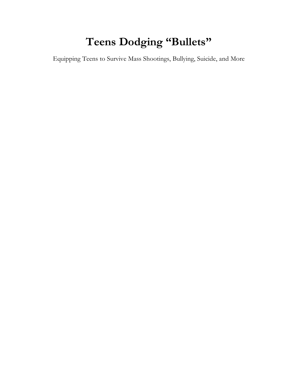# **Teens Dodging "Bullets"**

Equipping Teens to Survive Mass Shootings, Bullying, Suicide, and More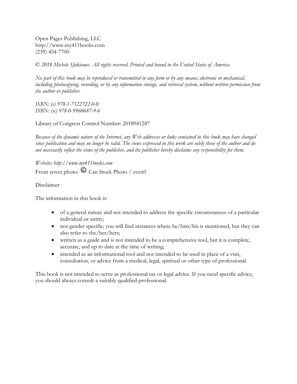Open Pages Publishing, LLC http://www.my411books.com (239) 454-7700

© *2018 Michele Sfakianos. All rights reserved. Printed and bound in the United States of America*

*No part of this book may be reproduced or transmitted in any form or by any means, electronic or mechanical, including photocopying, recording, or by any information storage, and retrieval system, without written permission from the author or publisher.*

*ISBN: (e) 978-1-7322722-0-0 ISBN: (sc) 978-0-9960687-9-6*

Library of Congress Control Number: 2018941287

*Because of the dynamic nature of the Internet, any Web addresses or links contained in this book may have changed since publication and may no longer be valid. The views expressed in this work are solely those of the author and do not necessarily reflect the views of the publisher, and the publisher hereby disclaims any responsibility for them.*

*Website: http://www.my411books.com* Front cover photo:  $\odot$  Can Stock Photo / zven0

Disclaimer

The information in this book is:

- of a general nature and not intended to address the specific circumstances of a particular individual or entity;
- not gender specific; you will find instances where he/him/his is mentioned, but they can also refer to she/her/hers;
- written as a guide and is not intended to be a comprehensive tool, but it is complete, accurate, and up to date at the time of writing;
- intended as an informational tool and not intended to be used in place of a visit, consultation, or advice from a medical, legal, spiritual or other type of professional.

This book is not intended to serve as professional tax or legal advice. If you need specific advice, you should always consult a suitably qualified professional.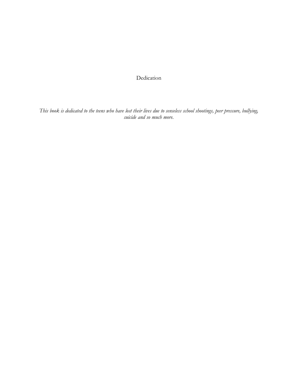Dedication

*This book is dedicated to the teens who have lost their lives due to senseless school shootings, peer pressure, bullying, suicide and so much more.*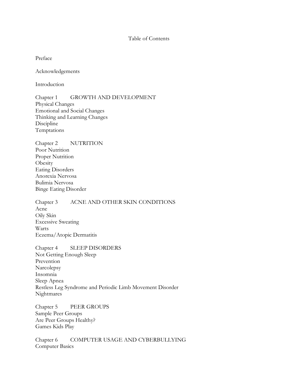#### Table of Contents

Preface

Acknowledgements

Introduction

Chapter 1 GROWTH AND DEVELOPMENT Physical Changes Emotional and Social Changes Thinking and Learning Changes Discipline Temptations

Chapter 2 NUTRITION Poor Nutrition Proper Nutrition **Obesity** Eating Disorders Anorexia Nervosa Bulimia Nervosa Binge Eating Disorder

Chapter 3 ACNE AND OTHER SKIN CONDITIONS Acne Oily Skin Excessive Sweating Warts Eczema/Atopic Dermatitis

Chapter 4 SLEEP DISORDERS Not Getting Enough Sleep Prevention Narcolepsy Insomnia Sleep Apnea Restless Leg Syndrome and Periodic Limb Movement Disorder Nightmares

Chapter 5 PEER GROUPS Sample Peer Groups Are Peer Groups Healthy? Games Kids Play

Chapter 6 COMPUTER USAGE AND CYBERBULLYING Computer Basics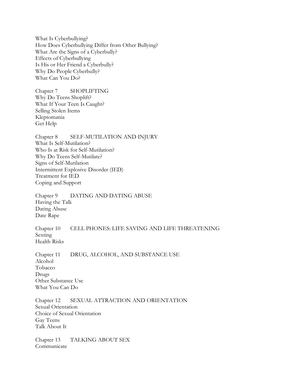What Is Cyberbullying? How Does Cyberbullying Differ from Other Bullying? What Are the Signs of a Cyberbully? Effects of Cyberbullying Is His or Her Friend a Cyberbully? Why Do People Cyberbully? What Can You Do?

Chapter 7 SHOPLIFTING Why Do Teens Shoplift? What If Your Teen Is Caught? Selling Stolen Items Kleptomania Get Help

Chapter 8 SELF-MUTILATION AND INJURY What Is Self-Mutilation? Who Is at Risk for Self-Mutilation? Why Do Teens Self-Mutilate? Signs of Self-Mutilation Intermittent Explosive Disorder (IED) Treatment for IED Coping and Support

Chapter 9 DATING AND DATING ABUSE Having the Talk Dating Abuse Date Rape

Chapter 10 CELL PHONES: LIFE SAVING AND LIFE THREATENING Sexting Health Risks

Chapter 11 DRUG, ALCOHOL, AND SUBSTANCE USE Alcohol Tobacco Drugs Other Substance Use What You Can Do

Chapter 12 SEXUAL ATTRACTION AND ORIENTATION Sexual Orientation Choice of Sexual Orientation Gay Teens Talk About It

Chapter 13 TALKING ABOUT SEX Communicate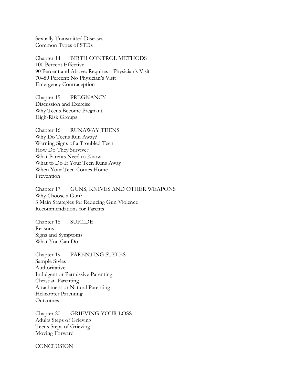Sexually Transmitted Diseases Common Types of STDs

Chapter 14 BIRTH CONTROL METHODS 100 Percent Effective 90 Percent and Above: Requires a Physician's Visit 70–89 Percent: No Physician's Visit Emergency Contraception

Chapter 15 PREGNANCY Discussion and Exercise Why Teens Become Pregnant High-Risk Groups

Chapter 16 RUNAWAY TEENS Why Do Teens Run Away? Warning Signs of a Troubled Teen How Do They Survive? What Parents Need to Know What to Do If Your Teen Runs Away When Your Teen Comes Home Prevention

Chapter 17 GUNS, KNIVES AND OTHER WEAPONS Why Choose a Gun? 3 Main Strategies for Reducing Gun Violence Recommendations for Parents

Chapter 18 SUICIDE Reasons Signs and Symptoms What You Can Do

Chapter 19 PARENTING STYLES Sample Styles Authoritative Indulgent or Permissive Parenting Christian Parenting Attachment or Natural Parenting Helicopter Parenting **Outcomes** 

Chapter 20 GRIEVING YOUR LOSS Adults Steps of Grieving Teens Steps of Grieving Moving Forward

**CONCLUSION**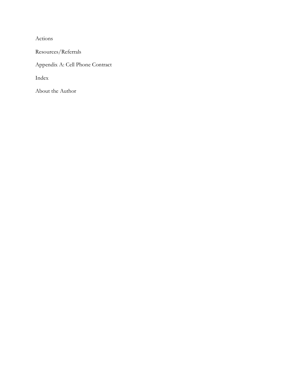Actions

Resources/Referrals

Appendix A: Cell Phone Contract

Index

About the Author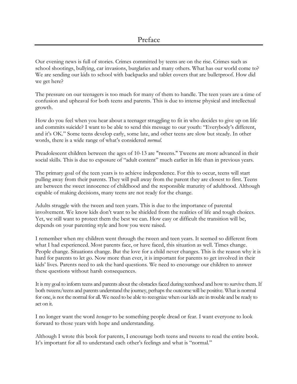Our evening news is full of stories. Crimes committed by teens are on the rise. Crimes such as school shootings, bullying, car invasions, burglaries and many others. What has our world come to? We are sending our kids to school with backpacks and tablet covers that are bulletproof. How did we get here?

The pressure on our teenagers is too much for many of them to handle. The teen years are a time of confusion and upheaval for both teens and parents. This is due to intense physical and intellectual growth.

How do you feel when you hear about a teenager struggling to fit in who decides to give up on life and commits suicide? I want to be able to send this message to our youth: "Everybody's different, and it's OK." Some teens develop early, some late, and other teens are slow but steady. In other words, there is a wide range of what's considered *normal*.

Preadolescent children between the ages of 10-13 are "tweens." Tweens are more advanced in their social skills. This is due to exposure of "adult content" much earlier in life than in previous years.

The primary goal of the teen years is to achieve independence. For this to occur, teens will start pulling away from their parents. They will pull away from the parent they are closest to first. Teens are between the sweet innocence of childhood and the responsible maturity of adulthood. Although capable of making decisions, many teens are not ready for the change.

Adults struggle with the tween and teen years. This is due to the importance of parental involvement. We know kids don't want to be shielded from the realities of life and tough choices. Yet, we still want to protect them the best we can. How easy or difficult the transition will be, depends on your parenting style and how you were raised.

I remember when my children went through the tween and teen years. It seemed so different from what I had experienced. Most parents face, or have faced, this situation as well. Times change. People change. Situations change. But the love for a child never changes. This is the reason why it is hard for parents to let go. Now more than ever, it is important for parents to get involved in their kids' lives. Parents need to ask the hard questions. We need to encourage our children to answer these questions without harsh consequences.

It is my goal to inform teens and parents about the obstacles faced during teenhood and how to survive them. If both tweens/teens and parents understand the journey, perhaps the outcome will be positive. What is normal for one, is not the normal for all. We need to be able to recognize when our kids are in trouble and be ready to act on it.

I no longer want the word *teenager* to be something people dread or fear. I want everyone to look forward to those years with hope and understanding.

Although I wrote this book for parents, I encourage both teens and tweens to read the entire book. It's important for all to understand each other's feelings and what is "normal."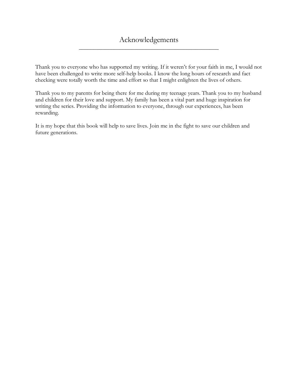Thank you to everyone who has supported my writing. If it weren't for your faith in me, I would not have been challenged to write more self-help books. I know the long hours of research and fact checking were totally worth the time and effort so that I might enlighten the lives of others.

Thank you to my parents for being there for me during my teenage years. Thank you to my husband and children for their love and support. My family has been a vital part and huge inspiration for writing the series. Providing the information to everyone, through our experiences, has been rewarding.

It is my hope that this book will help to save lives. Join me in the fight to save our children and future generations.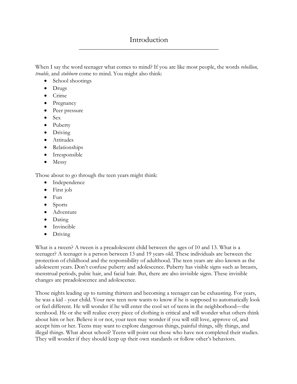# Introduction \_\_\_\_\_\_\_\_\_\_\_\_\_\_\_\_\_\_\_\_\_\_\_\_\_\_\_\_\_\_\_\_\_\_\_\_\_\_\_\_\_\_\_\_\_\_\_\_

When I say the word teenager what comes to mind? If you are like most people, the words *rebellion, trouble,* and *stubborn* come to mind. You might also think:

- School shootings
- Drugs
- Crime
- Pregnancy
- Peer pressure
- Sex
- Puberty
- Driving
- Attitudes
- Relationships
- Irresponsible
- Messy

Those about to go through the teen years might think:

- Independence
- First job
- Fun
- Sports
- Adventure
- Dating
- Invincible
- Driving

What is a tween? A tween is a preadolescent child between the ages of 10 and 13. What is a teenager? A teenager is a person between 13 and 19 years old. These individuals are between the protection of childhood and the responsibility of adulthood. The teen years are also known as the adolescent years. Don't confuse puberty and adolescence. Puberty has visible signs such as breasts, menstrual periods, pubic hair, and facial hair. But, there are also invisible signs. These invisible changes are preadolescence and adolescence.

Those nights leading up to turning thirteen and becoming a teenager can be exhausting. For years, he was a kid - your child. Your new teen now wants to know if he is supposed to automatically look or feel different. He will wonder if he will enter the cool set of teens in the neighborhood—the teenhood. He or she will realize every piece of clothing is critical and will wonder what others think about him or her. Believe it or not, your teen may wonder if you will still love, approve of, and accept him or her. Teens may want to explore dangerous things, painful things, silly things, and illegal things. What about school? Teens will point out those who have not completed their studies. They will wonder if they should keep up their own standards or follow other's behaviors.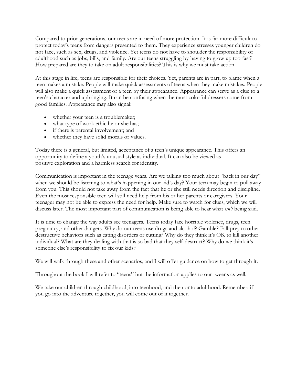Compared to prior generations, our teens are in need of more protection. It is far more difficult to protect today's teens from dangers presented to them. They experience stresses younger children do not face, such as sex, drugs, and violence. Yet teens do not have to shoulder the responsibility of adulthood such as jobs, bills, and family. Are our teens struggling by having to grow up too fast? How prepared are they to take on adult responsibilities? This is why we must take action.

At this stage in life, teens are responsible for their choices. Yet, parents are in part, to blame when a teen makes a mistake. People will make quick assessments of teens when they make mistakes. People will also make a quick assessment of a teen by their appearance. Appearance can serve as a clue to a teen's character and upbringing. It can be confusing when the most colorful dressers come from good families. Appearance may also signal:

- whether your teen is a troublemaker;
- what type of work ethic he or she has;
- if there is parental involvement; and
- whether they have solid morals or values.

Today there is a general, but limited, acceptance of a teen's unique appearance. This offers an opportunity to define a youth's unusual style as individual. It can also be viewed as positive exploration and a harmless search for identity.

Communication is important in the teenage years. Are we talking too much about "back in our day" when we should be listening to what's happening in our kid's day? Your teen may begin to pull away from you. This should not take away from the fact that he or she still needs direction and discipline. Even the most responsible teen will still need help from his or her parents or caregivers. Your teenager may not be able to express the need for help. Make sure to watch for clues, which we will discuss later. The most important part of communication is being able to hear what *isn't* being said.

It is time to change the way adults see teenagers. Teens today face horrible violence, drugs, teen pregnancy, and other dangers. Why do our teens use drugs and alcohol? Gamble? Fall prey to other destructive behaviors such as eating disorders or cutting? Why do they think it's OK to kill another individual? What are they dealing with that is so bad that they self-destruct? Why do we think it's someone else's responsibility to fix our kids?

We will walk through these and other scenarios, and I will offer guidance on how to get through it.

Throughout the book I will refer to "teens" but the information applies to our tweens as well.

We take our children through childhood, into teenhood, and then onto adulthood. Remember: if you go into the adventure together, you will come out of it together.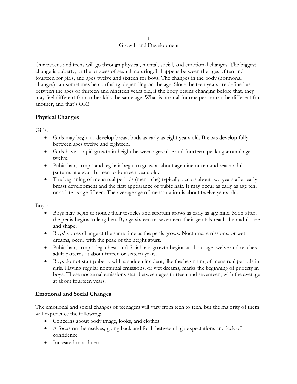#### 1 Growth and Development

Our tweens and teens will go through physical, mental, social, and emotional changes. The biggest change is puberty, or the process of sexual maturing. It happens between the ages of ten and fourteen for girls, and ages twelve and sixteen for boys. The changes in the body (hormonal changes) can sometimes be confusing, depending on the age. Since the teen years are defined as between the ages of thirteen and nineteen years old, if the body begins changing before that, they may feel different from other kids the same age. What is normal for one person can be different for another, and that's OK!

### **Physical Changes**

Girls:

- Girls may begin to develop breast buds as early as eight years old. Breasts develop fully between ages twelve and eighteen.
- Girls have a rapid growth in height between ages nine and fourteen, peaking around age twelve.
- Pubic hair, armpit and leg hair begin to grow at about age nine or ten and reach adult patterns at about thirteen to fourteen years old.
- The beginning of menstrual periods (menarche) typically occurs about two years after early breast development and the first appearance of pubic hair. It may occur as early as age ten, or as late as age fifteen. The average age of menstruation is about twelve years old.

Boys:

- Boys may begin to notice their testicles and scrotum grows as early as age nine. Soon after, the penis begins to lengthen. By age sixteen or seventeen, their genitals reach their adult size and shape.
- Boys' voices change at the same time as the penis grows. Nocturnal emissions, or wet dreams, occur with the peak of the height spurt.
- Pubic hair, armpit, leg, chest, and facial hair growth begins at about age twelve and reaches adult patterns at about fifteen or sixteen years.
- Boys do not start puberty with a sudden incident, like the beginning of menstrual periods in girls. Having regular nocturnal emissions, or wet dreams, marks the beginning of puberty in boys. These nocturnal emissions start between ages thirteen and seventeen, with the average at about fourteen years.

### **Emotional and Social Changes**

The emotional and social changes of teenagers will vary from teen to teen, but the majority of them will experience the following:

- Concerns about body image, looks, and clothes
- A focus on themselves; going back and forth between high expectations and lack of confidence
- Increased moodiness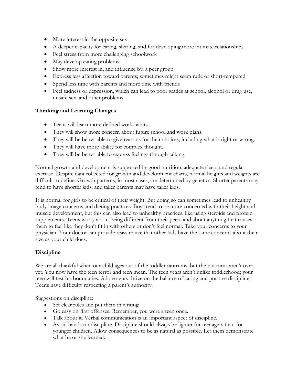- More interest in the opposite sex
- A deeper capacity for caring, sharing, and for developing more intimate relationships
- Feel stress from more challenging schoolwork
- May develop eating problems
- Show more interest in, and influence by, a peer group
- Express less affection toward parents; sometimes might seem rude or short-tempered
- Spend less time with parents and more time with friends
- Feel sadness or depression, which can lead to poor grades at school, alcohol or drug use, unsafe sex, and other problems.

### **Thinking and Learning Changes**

- Teens will learn more defined work habits.
- They will show more concern about future school and work plans.
- They will be better able to give reasons for their choices, including what is right or wrong.
- They will have more ability for complex thought.
- They will be better able to express feelings through talking.

Normal growth and development is supported by good nutrition, adequate sleep, and regular exercise. Despite data collected for growth and development charts, normal heights and weights are difficult to define. Growth patterns, in most cases, are determined by genetics. Shorter parents may tend to have shorter kids, and taller parents may have taller kids.

It is normal for girls to be critical of their weight. But doing so can sometimes lead to unhealthy body image concerns and dieting practices. Boys tend to be more concerned with their height and muscle development, but this can also lead to unhealthy practices, like using steroids and protein supplements. Teens worry about being different from their peers and about anything that causes them to feel like they don't fit in with others or don't feel normal. Take your concerns to your physician. Your doctor can provide reassurance that other kids have the same concerns about their size as your child does.

### **Discipline**

We are all thankful when our child ages out of the toddler tantrums, but the tantrums aren't over yet. You now have the teen terror and teen mean. The teen years aren't unlike toddlerhood; your teen will test his boundaries. Adolescents thrive on the balance of caring and positive discipline. Teens have difficulty respecting a parent's authority.

Suggestions on discipline:

- Set clear rules and put them in writing.
- Go easy on first offenses. Remember, you were a teen once.
- Talk about it. Verbal communication is an important aspect of discipline.
- Avoid hands-on discipline. Discipline should always be lighter for teenagers than for younger children. Allow consequences to be as natural as possible. Let them demonstrate what he or she learned.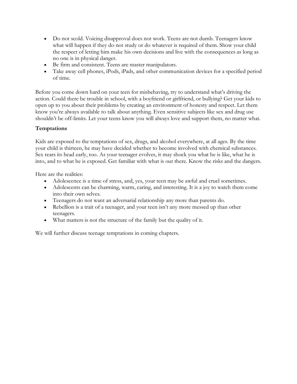- Do not scold. Voicing disapproval does not work. Teens are not dumb. Teenagers know what will happen if they do not study or do whatever is required of them. Show your child the respect of letting him make his own decisions and live with the consequences as long as no one is in physical danger.
- Be firm and consistent. Teens are master manipulators.
- Take away cell phones, iPods, iPads, and other communication devices for a specified period of time.

Before you come down hard on your teen for misbehaving, try to understand what's driving the action. Could there be trouble in school, with a boyfriend or girlfriend, or bullying? Get your kids to open up to you about their problems by creating an environment of honesty and respect. Let them know you're always available to talk about anything. Even sensitive subjects like sex and drug use shouldn't be off-limits. Let your teens know you will always love and support them, no matter what.

### **Temptations**

Kids are exposed to the temptations of sex, drugs, and alcohol everywhere, at all ages. By the time your child is thirteen, he may have decided whether to become involved with chemical substances. Sex rears its head early, too. As your teenager evolves, it may shock you what he is like, what he is into, and to what he is exposed. Get familiar with what is out there. Know the risks and the dangers.

Here are the realities:

- Adolescence is a time of stress, and, yes, your teen may be awful and cruel sometimes.
- Adolescents can be charming, warm, caring, and interesting. It is a joy to watch them come into their own selves.
- Teenagers do not want an adversarial relationship any more than parents do.
- Rebellion is a trait of a teenager, and your teen isn't any more messed up than other teenagers.
- What matters is not the structure of the family but the quality of it.

We will further discuss teenage temptations in coming chapters.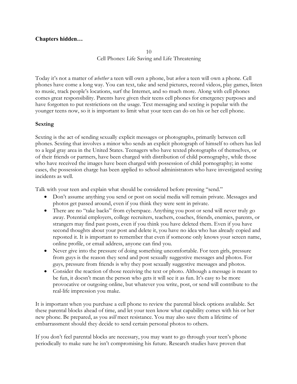## **Chapters hidden…**

10 Cell Phones: Life Saving and Life Threatening

Today it's not a matter of *whether* a teen will own a phone, but *when* a teen will own a phone. Cell phones have come a long way. You can text, take and send pictures, record videos, play games, listen to music, track people's locations, surf the Internet, and so much more. Along with cell phones comes great responsibility. Parents have given their teens cell phones for emergency purposes and have forgotten to put restrictions on the usage. Text messaging and sexting is popular with the younger teens now, so it is important to limit what your teen can do on his or her cell phone.

#### **Sexting**

Sexting is the act of sending sexually explicit messages or photographs, primarily between cell phones. Sexting that involves a minor who sends an explicit photograph of himself to others has led to a legal gray area in the United States. Teenagers who have texted photographs of themselves, or of their friends or partners, have been charged with distribution of child pornography, while those who have received the images have been charged with possession of child pornography; in some cases, the possession charge has been applied to school administrators who have investigated sexting incidents as well.

Talk with your teen and explain what should be considered before pressing "send."

- Don't assume anything you send or post on social media will remain private. Messages and photos get passed around, even if you think they were sent in private.
- There are no "take backs" from cyberspace. Anything you post or send will never truly go away. Potential employers, college recruiters, teachers, coaches, friends, enemies, parents, or strangers may find past posts, even if you think you have deleted them. Even if you have second thoughts about your post and delete it, you have no idea who has already copied and reposted it. It is important to remember that even if someone only knows your screen name, online profile, or email address, anyone can find you.
- Never give into the pressure of doing something uncomfortable. For teen girls, pressure from guys is the reason they send and post sexually suggestive messages and photos. For guys, pressure from friends is why they post sexually suggestive messages and photos.
- Consider the reaction of those receiving the text or photo. Although a message is meant to be fun, it doesn't mean the person who gets it will see it as fun. It's easy to be more provocative or outgoing online, but whatever you write, post, or send will contribute to the real-life impression you make.

It is important when you purchase a cell phone to review the parental block options available. Set these parental blocks ahead of time, and let your teen know what capability comes with his or her new phone. Be prepared, as you *will* meet resistance. You may also save them a lifetime of embarrassment should they decide to send certain personal photos to others.

If you don't feel parental blocks are necessary, you may want to go through your teen's phone periodically to make sure he isn't compromising his future. Research studies have proven that